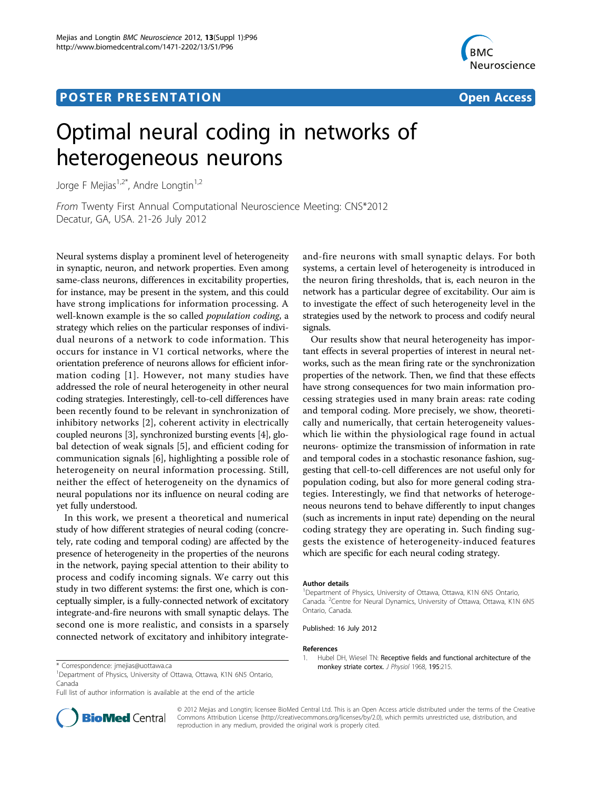# **POSTER PRESENTATION CONSUMING THE SERVICE SERVICE SERVICES**



# Optimal neural coding in networks of heterogeneous neurons

Jorge F Mejias<sup>1,2\*</sup>, Andre Longtin<sup>1,2</sup>

From Twenty First Annual Computational Neuroscience Meeting: CNS\*2012 Decatur, GA, USA. 21-26 July 2012

Neural systems display a prominent level of heterogeneity in synaptic, neuron, and network properties. Even among same-class neurons, differences in excitability properties, for instance, may be present in the system, and this could have strong implications for information processing. A well-known example is the so called population coding, a strategy which relies on the particular responses of individual neurons of a network to code information. This occurs for instance in V1 cortical networks, where the orientation preference of neurons allows for efficient information coding [1]. However, not many studies have addressed the role of neural heterogeneity in other neural coding strategies. Interestingly, cell-to-cell differences have been recently found to be relevant in synchronization of inhibitory networks [\[2](#page-1-0)], coherent activity in electrically coupled neurons [[3](#page-1-0)], synchronized bursting events [\[4](#page-1-0)], global detection of weak signals [[5\]](#page-1-0), and efficient coding for communication signals [[6\]](#page-1-0), highlighting a possible role of heterogeneity on neural information processing. Still, neither the effect of heterogeneity on the dynamics of neural populations nor its influence on neural coding are yet fully understood.

In this work, we present a theoretical and numerical study of how different strategies of neural coding (concretely, rate coding and temporal coding) are affected by the presence of heterogeneity in the properties of the neurons in the network, paying special attention to their ability to process and codify incoming signals. We carry out this study in two different systems: the first one, which is conceptually simpler, is a fully-connected network of excitatory integrate-and-fire neurons with small synaptic delays. The second one is more realistic, and consists in a sparsely connected network of excitatory and inhibitory integrate-



Our results show that neural heterogeneity has important effects in several properties of interest in neural networks, such as the mean firing rate or the synchronization properties of the network. Then, we find that these effects have strong consequences for two main information processing strategies used in many brain areas: rate coding and temporal coding. More precisely, we show, theoretically and numerically, that certain heterogeneity valueswhich lie within the physiological rage found in actual neurons- optimize the transmission of information in rate and temporal codes in a stochastic resonance fashion, suggesting that cell-to-cell differences are not useful only for population coding, but also for more general coding strategies. Interestingly, we find that networks of heterogeneous neurons tend to behave differently to input changes (such as increments in input rate) depending on the neural coding strategy they are operating in. Such finding suggests the existence of heterogeneity-induced features which are specific for each neural coding strategy.

#### Author details

<sup>1</sup>Department of Physics, University of Ottawa, Ottawa, K1N 6N5 Ontario, Canada. <sup>2</sup> Centre for Neural Dynamics, University of Ottawa, Ottawa, K1N 6N5 Ontario, Canada.

Published: 16 July 2012

#### References

1. Hubel DH, Wiesel TN: [Receptive fields and functional architecture of the](http://www.ncbi.nlm.nih.gov/pubmed/4966457?dopt=Abstract) \* Correspondence: [jmejias@uottawa.ca](mailto:jmejias@uottawa.ca) [monkey striate cortex.](http://www.ncbi.nlm.nih.gov/pubmed/4966457?dopt=Abstract) J Physiol 1968, 195:215



© 2012 Mejias and Longtin; licensee BioMed Central Ltd. This is an Open Access article distributed under the terms of the Creative Commons Attribution License [\(http://creativecommons.org/licenses/by/2.0](http://creativecommons.org/licenses/by/2.0)), which permits unrestricted use, distribution, and reproduction in any medium, provided the original work is properly cited.

<sup>&</sup>lt;sup>1</sup>Department of Physics, University of Ottawa, Ottawa, K1N 6N5 Ontario, Canada

Full list of author information is available at the end of the article